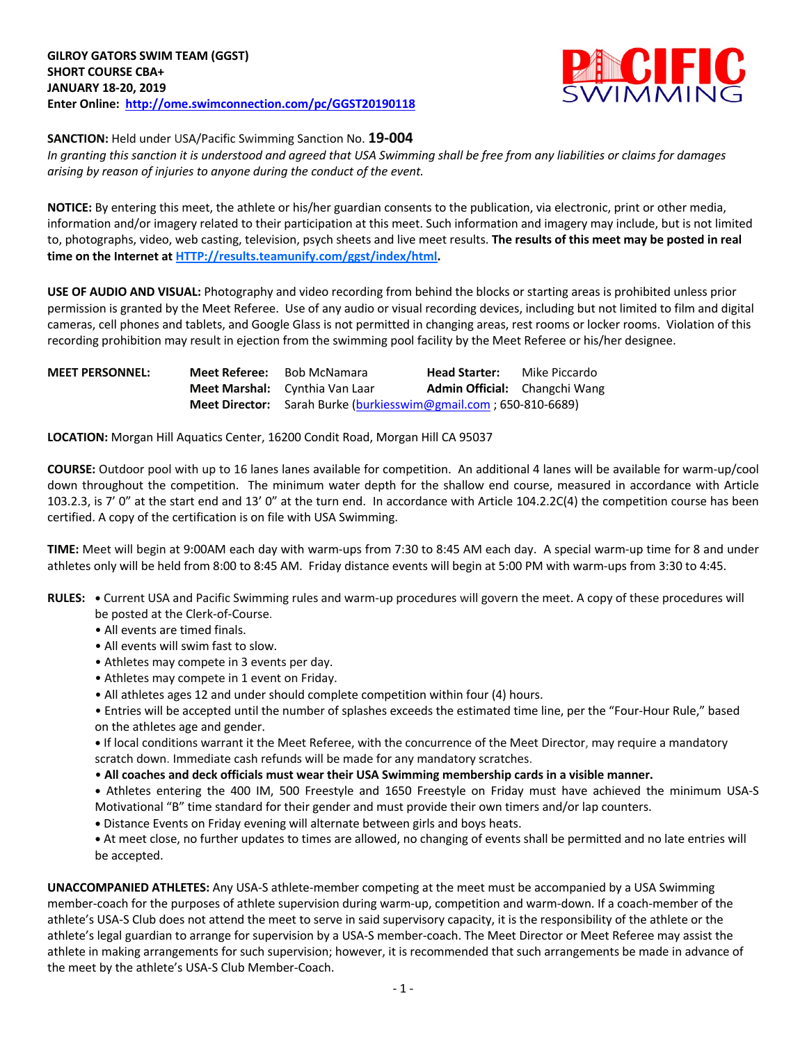

**SANCTION:** Held under USA/Pacific Swimming Sanction No. **19-004**

*In granting this sanction it is understood and agreed that USA Swimming shall be free from any liabilities or claims for damages arising by reason of injuries to anyone during the conduct of the event.*

**NOTICE:** By entering this meet, the athlete or his/her guardian consents to the publication, via electronic, print or other media, information and/or imagery related to their participation at this meet. Such information and imagery may include, but is not limited to, photographs, video, web casting, television, psych sheets and live meet results. **The results of this meet may be posted in real time on the Internet at HTTP://results.teamunify.com/ggst/index/html.**

**USE OF AUDIO AND VISUAL:** Photography and video recording from behind the blocks or starting areas is prohibited unless prior permission is granted by the Meet Referee. Use of any audio or visual recording devices, including but not limited to film and digital cameras, cell phones and tablets, and Google Glass is not permitted in changing areas, rest rooms or locker rooms. Violation of this recording prohibition may result in ejection from the swimming pool facility by the Meet Referee or his/her designee.

| <b>MEET PERSONNEL:</b> | Meet Referee: | Bob McNamara                          | <b>Head Starter:</b>                                                    | Mike Piccardo |  |  |
|------------------------|---------------|---------------------------------------|-------------------------------------------------------------------------|---------------|--|--|
|                        |               | <b>Meet Marshal:</b> Cynthia Van Laar | <b>Admin Official:</b> Changchi Wang                                    |               |  |  |
|                        |               |                                       | <b>Meet Director:</b> Sarah Burke (burkiesswim@gmail.com; 650-810-6689) |               |  |  |

**LOCATION:** Morgan Hill Aquatics Center, 16200 Condit Road, Morgan Hill CA 95037

**COURSE:** Outdoor pool with up to 16 lanes lanes available for competition.An additional 4 lanes will be available for warm-up/cool down throughout the competition. The minimum water depth for the shallow end course, measured in accordance with Article 103.2.3, is 7' 0" at the start end and 13' 0" at the turn end. In accordance with Article 104.2.2C(4) the competition course has been certified. A copy of the certification is on file with USA Swimming.

**TIME:** Meet will begin at 9:00AM each day with warm-ups from 7:30 to 8:45 AM each day. A special warm-up time for 8 and under athletes only will be held from 8:00 to 8:45 AM. Friday distance events will begin at 5:00 PM with warm-ups from 3:30 to 4:45.

- **RULES: •** Current USA and Pacific Swimming rules and warm-up procedures will govern the meet. A copy of these procedures will be posted at the Clerk-of-Course.
	- All events are timed finals.
	- All events will swim fast to slow.
	- Athletes may compete in 3 events per day.
	- Athletes may compete in 1 event on Friday.
	- All athletes ages 12 and under should complete competition within four (4) hours.

• Entries will be accepted until the number of splashes exceeds the estimated time line, per the "Four-Hour Rule," based on the athletes age and gender.

**•** If local conditions warrant it the Meet Referee, with the concurrence of the Meet Director, may require a mandatory scratch down. Immediate cash refunds will be made for any mandatory scratches.

• **All coaches and deck officials must wear their USA Swimming membership cards in a visible manner.** 

**•** Athletes entering the 400 IM, 500 Freestyle and 1650 Freestyle on Friday must have achieved the minimum USA-S Motivational "B" time standard for their gender and must provide their own timers and/or lap counters.

**•** Distance Events on Friday evening will alternate between girls and boys heats.

**•** At meet close, no further updates to times are allowed, no changing of events shall be permitted and no late entries will be accepted.

**UNACCOMPANIED ATHLETES:** Any USA-S athlete-member competing at the meet must be accompanied by a USA Swimming member-coach for the purposes of athlete supervision during warm-up, competition and warm-down. If a coach-member of the athlete's USA-S Club does not attend the meet to serve in said supervisory capacity, it is the responsibility of the athlete or the athlete's legal guardian to arrange for supervision by a USA-S member-coach. The Meet Director or Meet Referee may assist the athlete in making arrangements for such supervision; however, it is recommended that such arrangements be made in advance of the meet by the athlete's USA-S Club Member-Coach.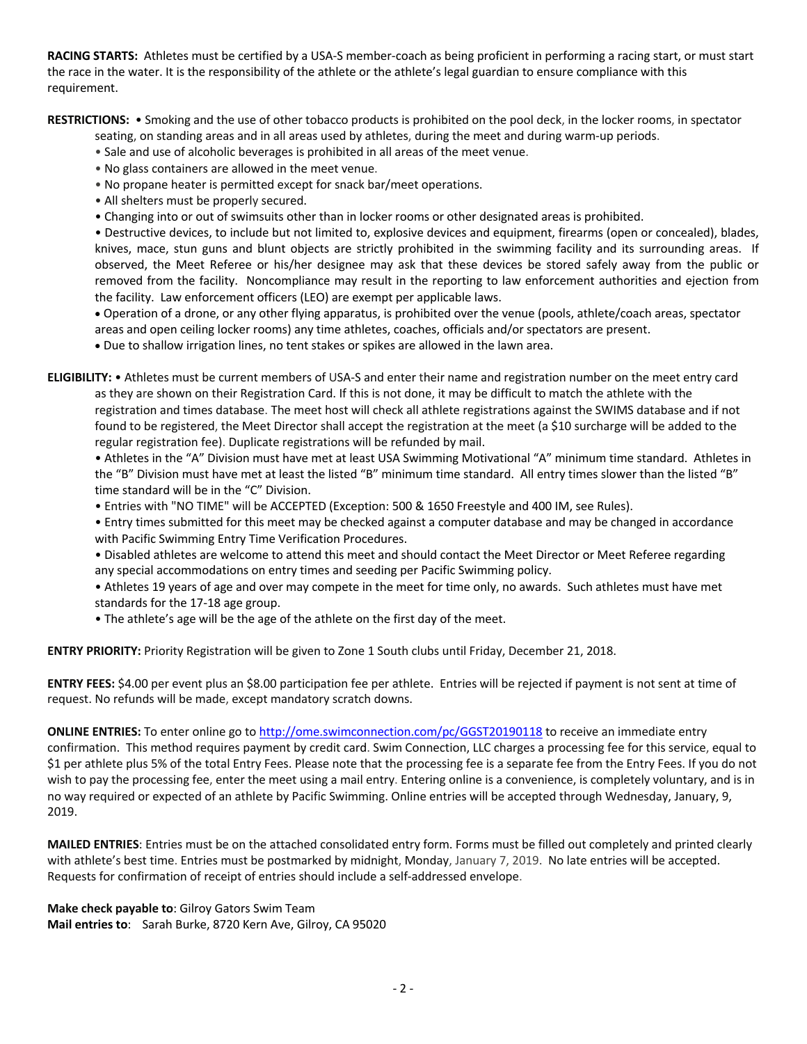**RACING STARTS:** Athletes must be certified by a USA-S member-coach as being proficient in performing a racing start, or must start the race in the water. It is the responsibility of the athlete or the athlete's legal guardian to ensure compliance with this requirement.

**RESTRICTIONS:** • Smoking and the use of other tobacco products is prohibited on the pool deck, in the locker rooms, in spectator

- seating, on standing areas and in all areas used by athletes, during the meet and during warm-up periods.
- Sale and use of alcoholic beverages is prohibited in all areas of the meet venue.
- No glass containers are allowed in the meet venue.
- No propane heater is permitted except for snack bar/meet operations.
- All shelters must be properly secured.
- Changing into or out of swimsuits other than in locker rooms or other designated areas is prohibited.

• Destructive devices, to include but not limited to, explosive devices and equipment, firearms (open or concealed), blades, knives, mace, stun guns and blunt objects are strictly prohibited in the swimming facility and its surrounding areas. If observed, the Meet Referee or his/her designee may ask that these devices be stored safely away from the public or removed from the facility. Noncompliance may result in the reporting to law enforcement authorities and ejection from the facility. Law enforcement officers (LEO) are exempt per applicable laws.

• Operation of a drone, or any other flying apparatus, is prohibited over the venue (pools, athlete/coach areas, spectator areas and open ceiling locker rooms) any time athletes, coaches, officials and/or spectators are present.

• Due to shallow irrigation lines, no tent stakes or spikes are allowed in the lawn area.

**ELIGIBILITY:** • Athletes must be current members of USA-S and enter their name and registration number on the meet entry card as they are shown on their Registration Card. If this is not done, it may be difficult to match the athlete with the registration and times database. The meet host will check all athlete registrations against the SWIMS database and if not found to be registered, the Meet Director shall accept the registration at the meet (a \$10 surcharge will be added to the regular registration fee). Duplicate registrations will be refunded by mail.

• Athletes in the "A" Division must have met at least USA Swimming Motivational "A" minimum time standard. Athletes in the "B" Division must have met at least the listed "B" minimum time standard. All entry times slower than the listed "B" time standard will be in the "C" Division.

- Entries with "NO TIME" will be ACCEPTED (Exception: 500 & 1650 Freestyle and 400 IM, see Rules).
- Entry times submitted for this meet may be checked against a computer database and may be changed in accordance with Pacific Swimming Entry Time Verification Procedures.
- Disabled athletes are welcome to attend this meet and should contact the Meet Director or Meet Referee regarding any special accommodations on entry times and seeding per Pacific Swimming policy.
- Athletes 19 years of age and over may compete in the meet for time only, no awards. Such athletes must have met standards for the 17-18 age group.
- The athlete's age will be the age of the athlete on the first day of the meet.

**ENTRY PRIORITY:** Priority Registration will be given to Zone 1 South clubs until Friday, December 21, 2018.

**ENTRY FEES:** \$4.00 per event plus an \$8.00 participation fee per athlete. Entries will be rejected if payment is not sent at time of request. No refunds will be made, except mandatory scratch downs.

**ONLINE ENTRIES:** To enter online go to http://ome.swimconnection.com/pc/GGST20190118 to receive an immediate entry confirmation. This method requires payment by credit card. Swim Connection, LLC charges a processing fee for this service, equal to \$1 per athlete plus 5% of the total Entry Fees. Please note that the processing fee is a separate fee from the Entry Fees. If you do not wish to pay the processing fee, enter the meet using a mail entry. Entering online is a convenience, is completely voluntary, and is in no way required or expected of an athlete by Pacific Swimming. Online entries will be accepted through Wednesday, January, 9, 2019.

**MAILED ENTRIES**: Entries must be on the attached consolidated entry form. Forms must be filled out completely and printed clearly with athlete's best time. Entries must be postmarked by midnight, Monday, January 7, 2019. No late entries will be accepted. Requests for confirmation of receipt of entries should include a self-addressed envelope.

**Make check payable to**: Gilroy Gators Swim Team **Mail entries to**: Sarah Burke, 8720 Kern Ave, Gilroy, CA 95020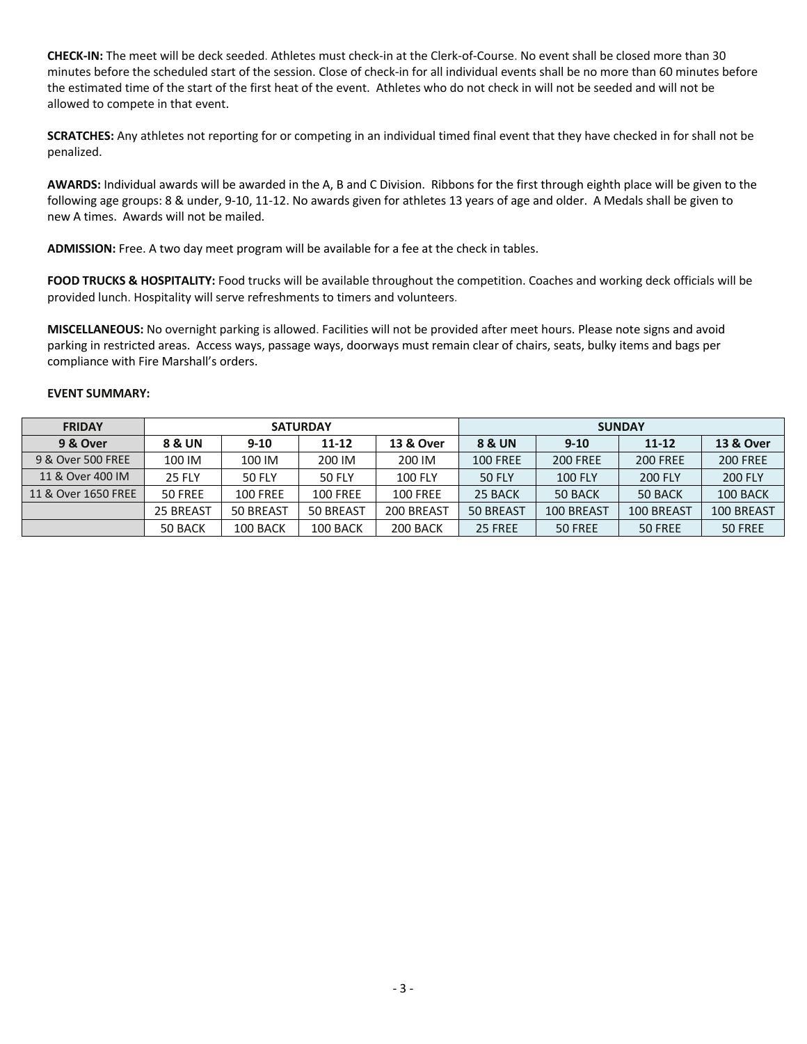**CHECK-IN:** The meet will be deck seeded. Athletes must check-in at the Clerk-of-Course. No event shall be closed more than 30 minutes before the scheduled start of the session. Close of check-in for all individual events shall be no more than 60 minutes before the estimated time of the start of the first heat of the event. Athletes who do not check in will not be seeded and will not be allowed to compete in that event.

**SCRATCHES:** Any athletes not reporting for or competing in an individual timed final event that they have checked in for shall not be penalized.

**AWARDS:** Individual awards will be awarded in the A, B and C Division. Ribbons for the first through eighth place will be given to the following age groups: 8 & under, 9-10, 11-12. No awards given for athletes 13 years of age and older. A Medals shall be given to new A times. Awards will not be mailed.

**ADMISSION:** Free. A two day meet program will be available for a fee at the check in tables.

**FOOD TRUCKS & HOSPITALITY:** Food trucks will be available throughout the competition. Coaches and working deck officials will be provided lunch. Hospitality will serve refreshments to timers and volunteers.

**MISCELLANEOUS:** No overnight parking is allowed. Facilities will not be provided after meet hours. Please note signs and avoid parking in restricted areas. Access ways, passage ways, doorways must remain clear of chairs, seats, bulky items and bags per compliance with Fire Marshall's orders.

## **EVENT SUMMARY:**

| <b>FRIDAY</b>       |               |                 | <b>SATURDAY</b> |                      | <b>SUNDAY</b>     |                 |                 |                      |  |
|---------------------|---------------|-----------------|-----------------|----------------------|-------------------|-----------------|-----------------|----------------------|--|
| 9 & Over            | 8 & UN        | $9 - 10$        | $11 - 12$       | <b>13 &amp; Over</b> | <b>8 &amp; UN</b> | $9 - 10$        | $11 - 12$       | <b>13 &amp; Over</b> |  |
| 9 & Over 500 FREE   | 100 IM        | 100 IM          | 200 IM          | 200 IM               | <b>100 FREE</b>   | <b>200 FREE</b> | <b>200 FREE</b> | <b>200 FREE</b>      |  |
| 11 & Over 400 IM    | <b>25 FLY</b> | <b>50 FLY</b>   | <b>50 FLY</b>   | <b>100 FLY</b>       | 50 FLY            | <b>100 FLY</b>  | <b>200 FLY</b>  | <b>200 FLY</b>       |  |
| 11 & Over 1650 FREE | 50 FREE       | <b>100 FREE</b> | <b>100 FREE</b> | <b>100 FREE</b>      | 25 BACK           | 50 BACK         | 50 BACK         | 100 BACK             |  |
|                     | 25 BREAST     | 50 BREAST       | 50 BREAST       | 200 BREAST           | 50 BREAST         | 100 BREAST      | 100 BREAST      | 100 BREAST           |  |
|                     | 50 BACK       | 100 BACK        | 100 BACK        | 200 BACK             | 25 FREE           | 50 FREE         | 50 FREE         | 50 FREE              |  |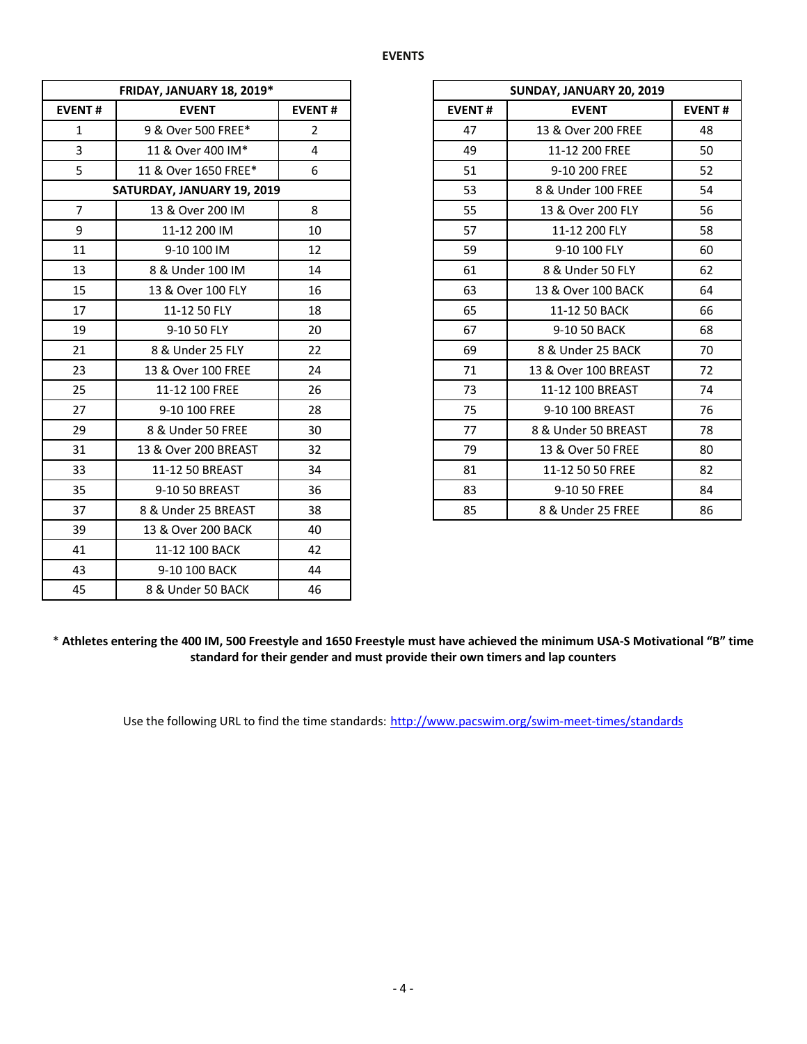|                | FRIDAY, JANUARY 18, 2019*  |                |
|----------------|----------------------------|----------------|
| <b>EVENT#</b>  | <b>EVENT</b>               | <b>EVENT#</b>  |
| $\mathbf{1}$   | 9 & Over 500 FREE*         | $\overline{2}$ |
| $\overline{3}$ | 11 & Over 400 IM*          | $\overline{4}$ |
| 5              | 11 & Over 1650 FREE*       | 6              |
|                | SATURDAY, JANUARY 19, 2019 |                |
| $\overline{7}$ | 13 & Over 200 IM           | 8              |
| 9              | 11-12 200 IM               | 10             |
| 11             | 9-10 100 IM                | 12             |
| 13             | 8 & Under 100 IM           | 14             |
| 15             | 13 & Over 100 FLY          | 16             |
| 17             | 11-12 50 FLY               | 18             |
| 19             | 9-10 50 FLY                | 20             |
| 21             | 8 & Under 25 FLY           | 22             |
| 23             | 13 & Over 100 FREE         | 24             |
| 25             | 11-12 100 FREE             | 26             |
| 27             | 9-10 100 FREE              | 28             |
| 29             | 8 & Under 50 FREE          | 30             |
| 31             | 13 & Over 200 BREAST       | 32             |
| 33             | 11-12 50 BREAST            | 34             |
| 35             | 9-10 50 BREAST             | 36             |
| 37             | 8 & Under 25 BREAST        | 38             |
| 39             | 13 & Over 200 BACK         | 40             |
| 41             | 11-12 100 BACK             | 42             |
| 43             | 9-10 100 BACK              | 44             |
| 45             | 8 & Under 50 BACK          | 46             |

|                 | FRIDAY, JANUARY 18, 2019*  |                |
|-----------------|----------------------------|----------------|
| NT#             | <b>EVENT</b>               | <b>EVENT#</b>  |
| 1               | 9 & Over 500 FREE*         | $\overline{2}$ |
| 3               | 11 & Over 400 IM*          | 4              |
| $\overline{5}$  | 11 & Over 1650 FREE*       | 6              |
|                 | SATURDAY, JANUARY 19, 2019 |                |
| $\overline{7}$  | 13 & Over 200 IM           | 8              |
| 9               | 11-12 200 IM               | 10             |
| $\overline{1}$  | 9-10 100 IM                | 12             |
| L3              | 8 & Under 100 IM           | 14             |
| L5              | 13 & Over 100 FLY          | 16             |
| L7              | 11-12 50 FLY               | 18             |
| L9              | 9-10 50 FLY                | 20             |
| $\overline{21}$ | 8 & Under 25 FLY           | 22             |
| $^{23}$         | 13 & Over 100 FREE         | 24             |
| 25              | 11-12 100 FREE             | 26             |
| 27              | 9-10 100 FREE              | 28             |
| 29              | 8 & Under 50 FREE          | 30             |
| 31              | 13 & Over 200 BREAST       | 32             |
| 33              | 11-12 50 BREAST            | 34             |
| 35 <sub>2</sub> | 9-10 50 BREAST             | 36             |
| 37              | 8 & Under 25 BREAST        | 38             |
|                 |                            |                |

\* **Athletes entering the 400 IM, 500 Freestyle and 1650 Freestyle must have achieved the minimum USA-S Motivational "B" time standard for their gender and must provide their own timers and lap counters**

Use the following URL to find the time standards: http://www.pacswim.org/swim-meet-times/standards